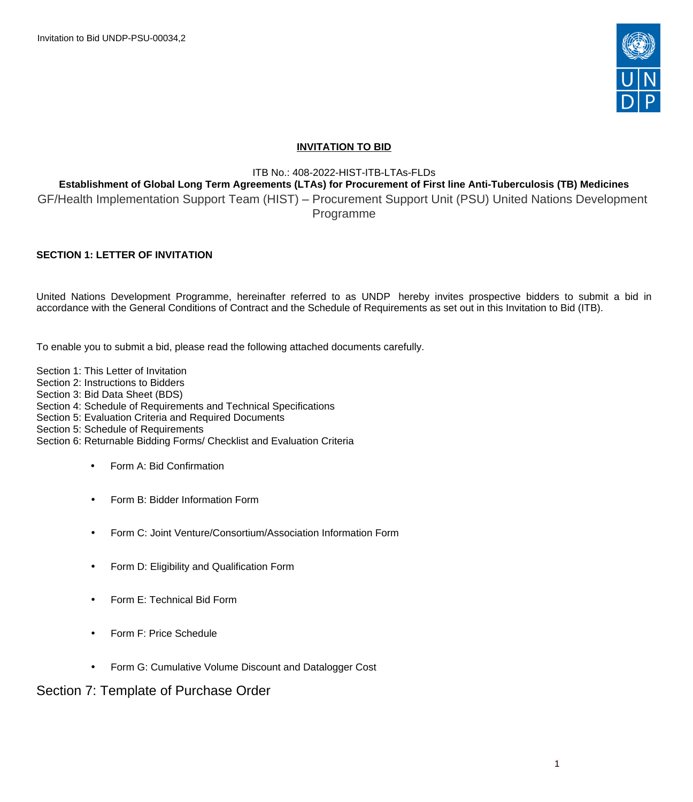Invitation to Bid UNDP-PSU-00034,2



# **INVITATION TO BID**

ITB No.: 408-2022-HIST-ITB-LTAs-FLDs

# **Establishment of Global Long Term Agreements (LTAs) for Procurement of First line Anti-Tuberculosis (TB) Medicines**

GF/Health Implementation Support Team (HIST) – Procurement Support Unit (PSU) United Nations Development Programme

# **SECTION 1: LETTER OF INVITATION**

United Nations Development Programme, hereinafter referred to as UNDP hereby invites prospective bidders to submit a bid in accordance with the General Conditions of Contract and the Schedule of Requirements as set out in this Invitation to Bid (ITB).

To enable you to submit a bid, please read the following attached documents carefully.

Section 1: This Letter of Invitation Section 2: Instructions to Bidders Section 3: Bid Data Sheet (BDS) Section 4: Schedule of Requirements and Technical Specifications Section 5: Evaluation Criteria and Required Documents Section 5: Schedule of Requirements Section 6: Returnable Bidding Forms/ Checklist and Evaluation Criteria

- Form A: Bid Confirmation
- Form B: Bidder Information Form
- Form C: Joint Venture/Consortium/Association Information Form
- Form D: Eligibility and Qualification Form
- Form E: Technical Bid Form
- Form F: Price Schedule
- Form G: Cumulative Volume Discount and Datalogger Cost

# Section 7: Template of Purchase Order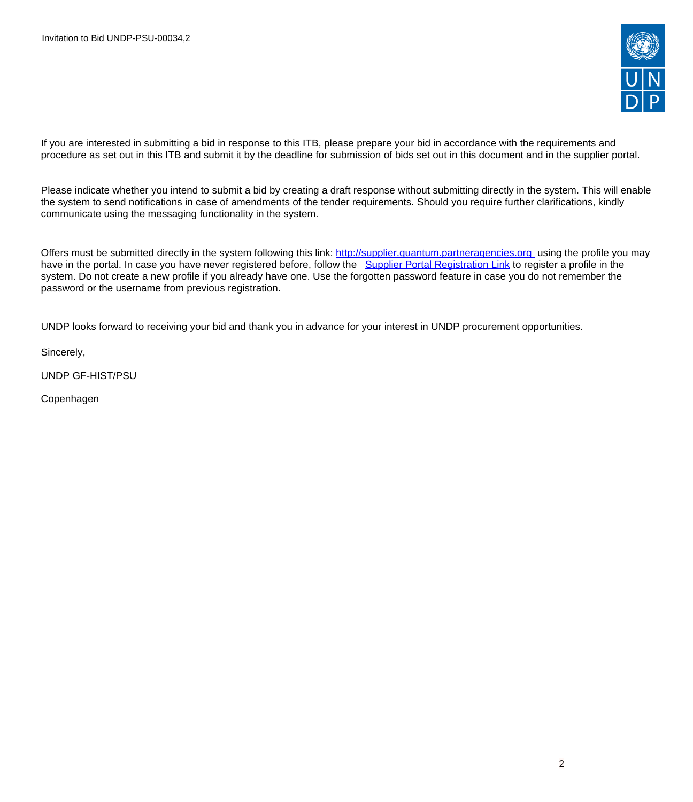

If you are interested in submitting a bid in response to this ITB, please prepare your bid in accordance with the requirements and procedure as set out in this ITB and submit it by the deadline for submission of bids set out in this document and in the supplier portal.

Please indicate whether you intend to submit a bid by creating a draft response without submitting directly in the system. This will enable the system to send notifications in case of amendments of the tender requirements. Should you require further clarifications, kindly communicate using the messaging functionality in the system.

Offers must be submitted directly in the system following this link: <http://supplier.quantum.partneragencies.org>using the profile you may have in the portal. In case you have never registered before, follow the [Supplier Portal Registration Link](https://estm.fa.em2.oraclecloud.com/fscmUI/faces/PrcPosRegisterSupplier?prcBuId=300000127715297&_adf.ctrl-state=qke67uzkv_1&_afrLoop=14793011652652351&_afrWindowMode=0&_afrWindowId=null&_afrFS=16&_afrMT=screen&_afrMFW=945&_afrMFH=933&_afrMFDW=1920&_afrMFDH=1080&_afrMFC=8&_afrMFCI=0&_afrMFM=0&_afrMFR=96&_afrMFG=0&_afrMFS=0&_afrMFO=0) to register a profile in the system. Do not create a new profile if you already have one. Use the forgotten password feature in case you do not remember the password or the username from previous registration.

UNDP looks forward to receiving your bid and thank you in advance for your interest in UNDP procurement opportunities.

Sincerely,

UNDP GF-HIST/PSU

Copenhagen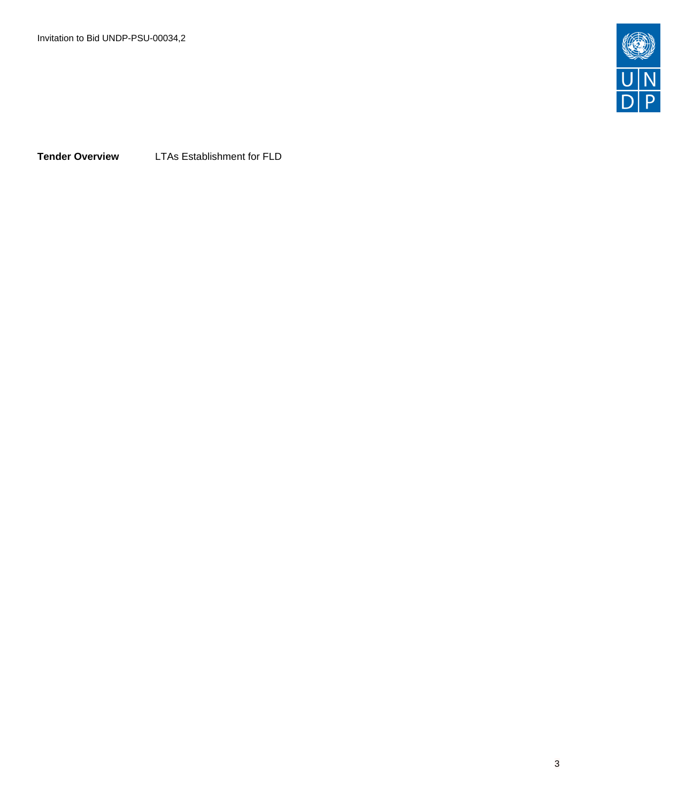

**Tender Overview** LTAs Establishment for FLD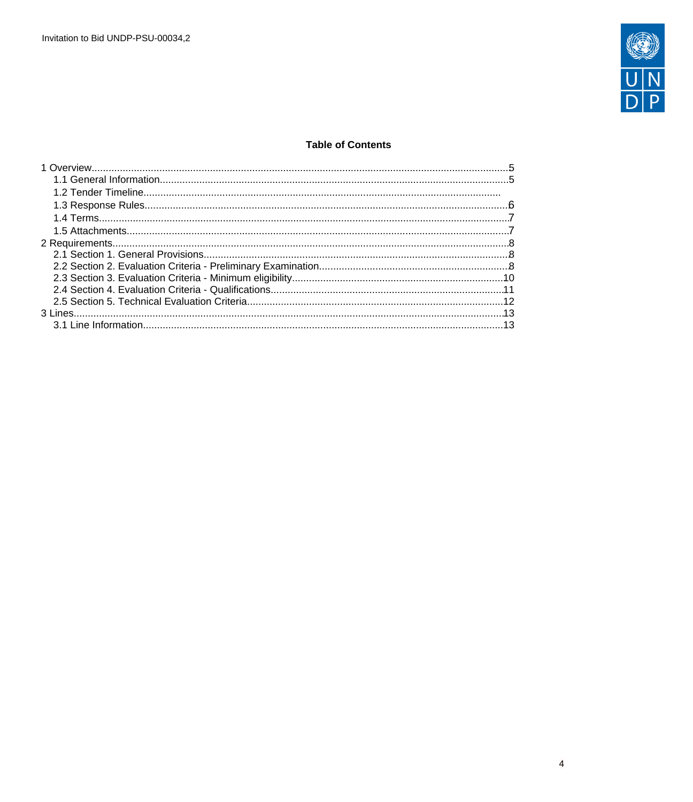

# **Table of Contents**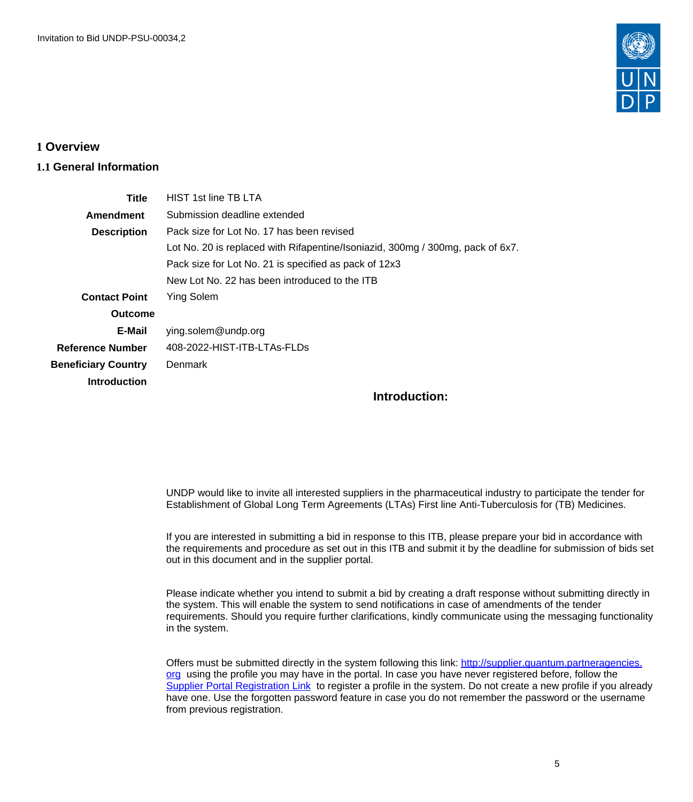

# <span id="page-4-0"></span>**1 Overview**

# <span id="page-4-1"></span>**1.1 General Information**

| Title                      | HIST 1st line TB LTA                                                           |
|----------------------------|--------------------------------------------------------------------------------|
| Amendment                  | Submission deadline extended                                                   |
| <b>Description</b>         | Pack size for Lot No. 17 has been revised                                      |
|                            | Lot No. 20 is replaced with Rifapentine/Isoniazid, 300mg / 300mg, pack of 6x7. |
|                            | Pack size for Lot No. 21 is specified as pack of 12x3                          |
|                            | New Lot No. 22 has been introduced to the ITB                                  |
| <b>Contact Point</b>       | Ying Solem                                                                     |
| Outcome                    |                                                                                |
| E-Mail                     | ying.solem@undp.org                                                            |
| <b>Reference Number</b>    | 408-2022-HIST-ITB-LTAs-FLDs                                                    |
| <b>Beneficiary Country</b> | Denmark                                                                        |
| <b>Introduction</b>        |                                                                                |
|                            | Introduction:                                                                  |

UNDP would like to invite all interested suppliers in the pharmaceutical industry to participate the tender for Establishment of Global Long Term Agreements (LTAs) First line Anti-Tuberculosis for (TB) Medicines.

If you are interested in submitting a bid in response to this ITB, please prepare your bid in accordance with the requirements and procedure as set out in this ITB and submit it by the deadline for submission of bids set out in this document and in the supplier portal.

Please indicate whether you intend to submit a bid by creating a draft response without submitting directly in the system. This will enable the system to send notifications in case of amendments of the tender requirements. Should you require further clarifications, kindly communicate using the messaging functionality in the system.

Offers must be submitted directly in the system following this link: [http://supplier.quantum.partneragencies.](http://supplier.quantum.partneragencies.org/) [org](http://supplier.quantum.partneragencies.org/) using the profile you may have in the portal. In case you have never registered before, follow the [Supplier Portal Registration Link](https://estm.fa.em2.oraclecloud.com/fscmUI/faces/PrcPosRegisterSupplier?prcBuId=300000127715297&_adf.ctrl-state=azywmctp_1&_afrLoop=6329722925931702&_afrWindowMode=0&_afrWindowId=null&_afrFS=16&_afrMT=screen&_afrMFW=1042&_afrMFH=575&_afrMFDW=1280&_afrMFDH=720&_afrMFC=8&_afrMFCI=0&_afrMFM=0&_afrMFR=144&_afrMFG=0&_afrMFS=0&_afrMFO=0) to register a profile in the system. Do not create a new profile if you already have one. Use the forgotten password feature in case you do not remember the password or the username from previous registration.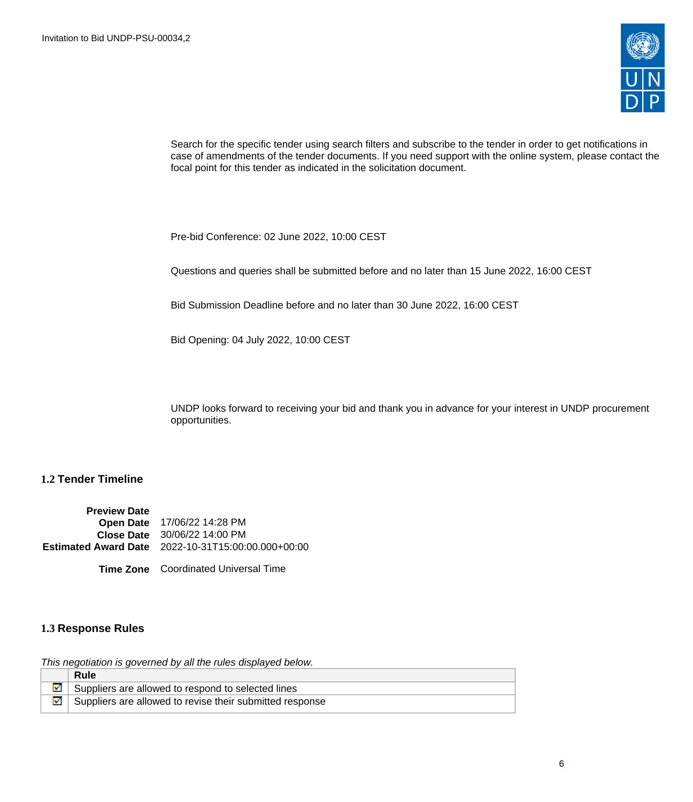

Search for the specific tender using search filters and subscribe to the tender in order to get notifications in case of amendments of the tender documents. If you need support with the online system, please contact the focal point for this tender as indicated in the solicitation document.

Pre-bid Conference: 02 June 2022, 10:00 CEST

Questions and queries shall be submitted before and no later than 15 June 2022, 16:00 CEST

Bid Submission Deadline before and no later than 30 June 2022, 16:00 CEST

Bid Opening: 04 July 2022, 10:00 CEST

UNDP looks forward to receiving your bid and thank you in advance for your interest in UNDP procurement opportunities.

# **1.2 Tender Timeline**

**Preview Date Open Date** 17/06/22 14:28 PM **Close Date** 30/06/22 14:00 PM **Estimated Award Date** 2022-10-31T15:00:00.000+00:00

**Time Zone** Coordinated Universal Time

# <span id="page-5-0"></span>**1.3 Response Rules**

This negotiation is governed by all the rules displayed below.

|  | Rule                                                     |
|--|----------------------------------------------------------|
|  | Suppliers are allowed to respond to selected lines       |
|  | Suppliers are allowed to revise their submitted response |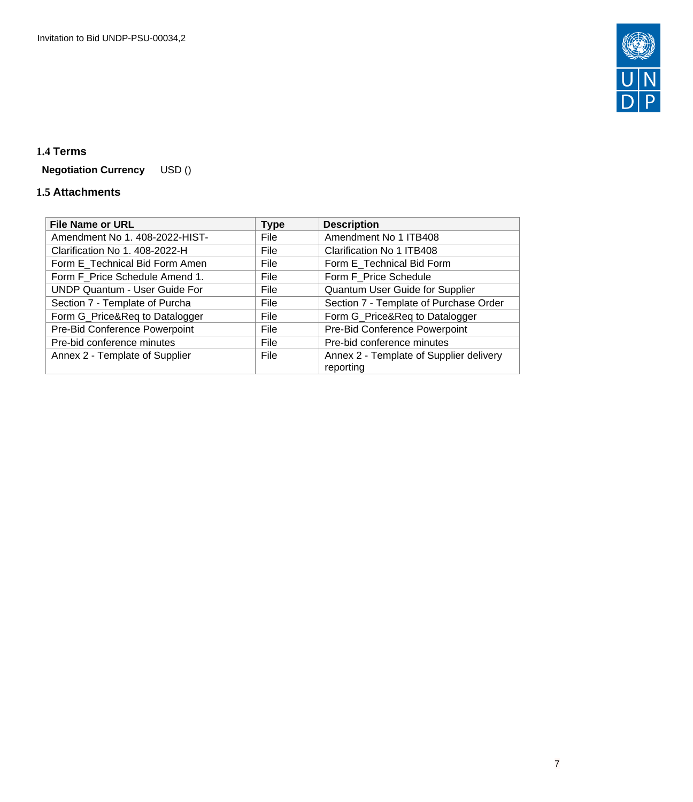

# <span id="page-6-0"></span>**1.4 Terms**

**Negotiation Currency** USD ()

# <span id="page-6-1"></span>**1.5 Attachments**

| <b>File Name or URL</b>              | <b>Type</b> | <b>Description</b>                      |
|--------------------------------------|-------------|-----------------------------------------|
| Amendment No 1. 408-2022-HIST-       | File        | Amendment No 1 ITB408                   |
| Clarification No 1. 408-2022-H       | File        | Clarification No 1 ITB408               |
| Form E Technical Bid Form Amen       | File        | Form E_Technical Bid Form               |
| Form F_Price Schedule Amend 1.       | File        | Form F Price Schedule                   |
| <b>UNDP Quantum - User Guide For</b> | File        | Quantum User Guide for Supplier         |
| Section 7 - Template of Purcha       | File        | Section 7 - Template of Purchase Order  |
| Form G_Price&Req to Datalogger       | File        | Form G_Price&Req to Datalogger          |
| Pre-Bid Conference Powerpoint        | File        | Pre-Bid Conference Powerpoint           |
| Pre-bid conference minutes           | File        | Pre-bid conference minutes              |
| Annex 2 - Template of Supplier       | File        | Annex 2 - Template of Supplier delivery |
|                                      |             | reporting                               |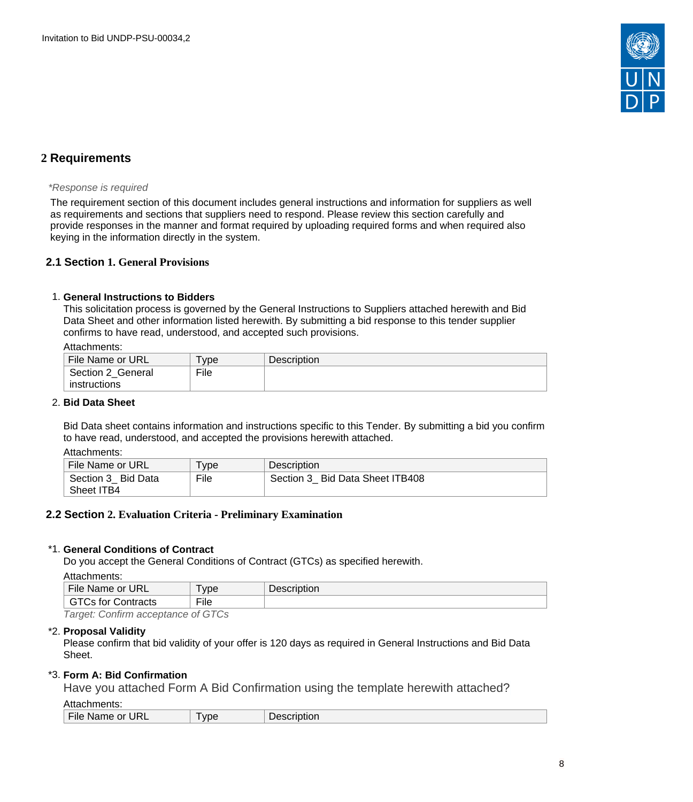

# <span id="page-7-0"></span>**2 Requirements**

#### \*Response is required

The requirement section of this document includes general instructions and information for suppliers as well as requirements and sections that suppliers need to respond. Please review this section carefully and provide responses in the manner and format required by uploading required forms and when required also keying in the information directly in the system.

# <span id="page-7-1"></span>**2.1 Section 1. General Provisions**

### 1. **General Instructions to Bidders**

This solicitation process is governed by the General Instructions to Suppliers attached herewith and Bid Data Sheet and other information listed herewith. By submitting a bid response to this tender supplier confirms to have read, understood, and accepted such provisions.

#### Attachments:

| File Name or URL  | vpe <sup>1</sup> | <b>Description</b> |
|-------------------|------------------|--------------------|
| Section 2 General | File             |                    |
| instructions      |                  |                    |

### 2. **Bid Data Sheet**

Bid Data sheet contains information and instructions specific to this Tender. By submitting a bid you confirm to have read, understood, and accepted the provisions herewith attached.

Attachments:

| File Name or URL   | ype  | <b>Description</b>              |
|--------------------|------|---------------------------------|
| Section 3 Bid Data | File | Section 3 Bid Data Sheet ITB408 |
| Sheet ITB4         |      |                                 |

# <span id="page-7-2"></span>**2.2 Section 2. Evaluation Criteria - Preliminary Examination**

# \*1. **General Conditions of Contract**

Do you accept the General Conditions of Contract (GTCs) as specified herewith.

```
Attachments:
```

| , ,,,,,,,,,,,,,,,,,,,                                   |                           |             |
|---------------------------------------------------------|---------------------------|-------------|
| <b>File</b><br>Name or URL                              | <b>vpe</b>                | Description |
| tor<br>Contracts<br>UJ.                                 | $- \cdot \cdot$<br>`∹ile⊹ |             |
| $\overline{\phantom{a}}$<br>$-$<br>$\sim$ $\sim$ $\sim$ | $\sim$ $\sim$ $\sim$      |             |

Target: Confirm acceptance of GTCs

### \*2. **Proposal Validity**

Please confirm that bid validity of your offer is 120 days as required in General Instructions and Bid Data Sheet.

# \*3. **Form A: Bid Confirmation**

Have you attached Form A Bid Confirmation using the template herewith attached?

Attachments:

File Name or URL Type | Description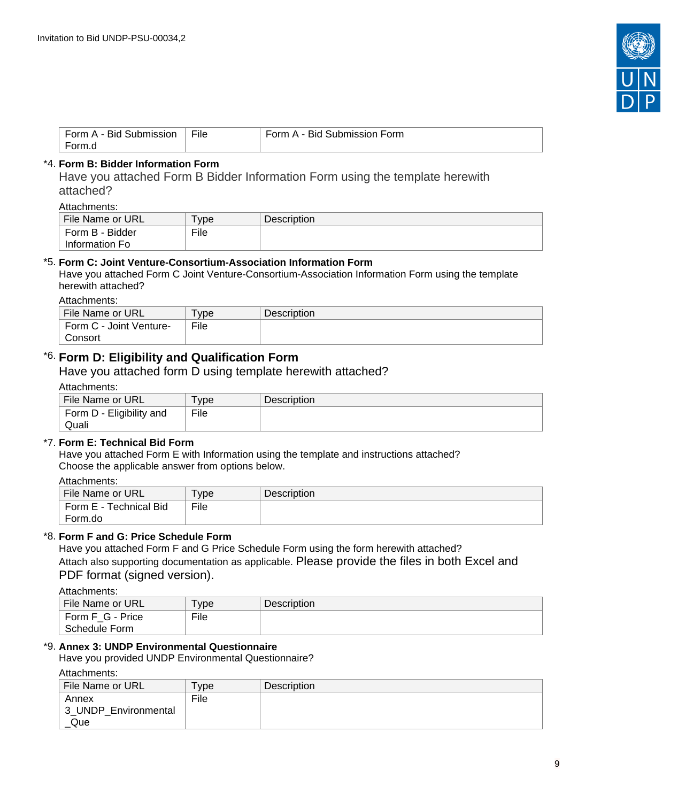

| Form A - Bid<br>Submission | File | Submission Form<br>Form A - Bid |
|----------------------------|------|---------------------------------|
| Form.d                     |      |                                 |

# \*4. **Form B: Bidder Information Form**

Have you attached Form B Bidder Information Form using the template herewith attached?

Attachments:

| File Name or URL | vpe <sup>'</sup> | Description |
|------------------|------------------|-------------|
| Form B - Bidder  | File             |             |
| Information Fo   |                  |             |

### \*5. **Form C: Joint Venture-Consortium-Association Information Form**

Have you attached Form C Joint Venture-Consortium-Association Information Form using the template herewith attached?

Attachments:

| File Name or URL        | vpe  | <b>Description</b> |
|-------------------------|------|--------------------|
| Form C - Joint Venture- | File |                    |
| Consort                 |      |                    |

# \*6. **Form D: Eligibility and Qualification Form**

Have you attached form D using template herewith attached?

### Attachments:

| File Name or URL         | vpe  | <b>Description</b> |
|--------------------------|------|--------------------|
| Form D - Eligibility and | File |                    |
| Quali                    |      |                    |

# \*7. **Form E: Technical Bid Form**

Have you attached Form E with Information using the template and instructions attached? Choose the applicable answer from options below.

Attachments:

| File Name or URL       | ' vpe | <b>Description</b> |
|------------------------|-------|--------------------|
| Form E - Technical Bid | File  |                    |
| Form.do                |       |                    |

# \*8. **Form F and G: Price Schedule Form**

Have you attached Form F and G Price Schedule Form using the form herewith attached? Attach also supporting documentation as applicable. Please provide the files in both Excel and PDF format (signed version).

Attachments:

| File Name or URL | vpe <sup>-</sup> | <b>Description</b> |
|------------------|------------------|--------------------|
| Form F G - Price | File             |                    |
| Schedule Form    |                  |                    |

# \*9. **Annex 3: UNDP Environmental Questionnaire**

Have you provided UNDP Environmental Questionnaire?

Attachments:

| .                                    |                     |                    |
|--------------------------------------|---------------------|--------------------|
| File Name or URL                     | $T$ <sub>V</sub> pe | <b>Description</b> |
| Annex<br>3 UNDP Environmental<br>Que | File                |                    |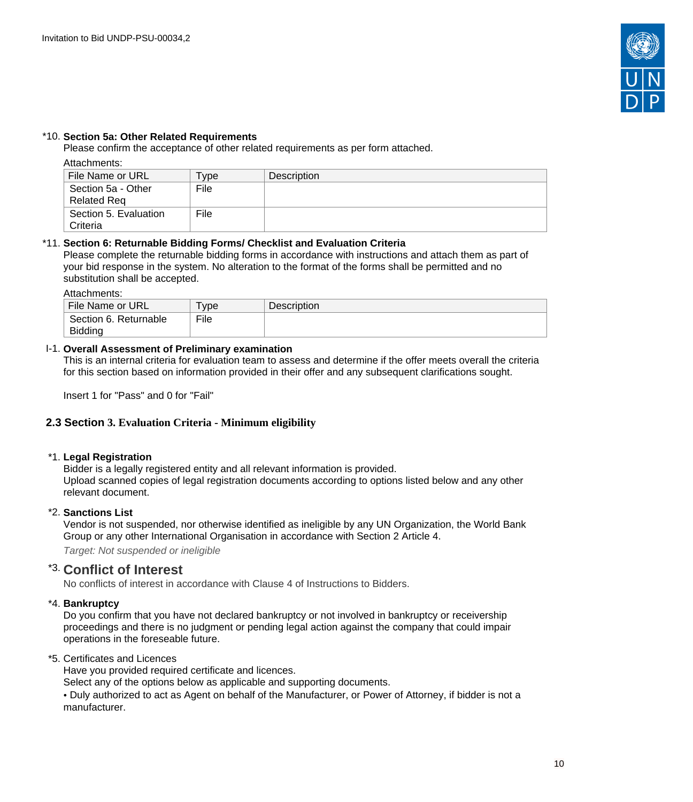

# \*10. **Section 5a: Other Related Requirements**

Please confirm the acceptance of other related requirements as per form attached.

# Attachments:

| File Name or URL                         | vpe <sup>-</sup> | Description |
|------------------------------------------|------------------|-------------|
| Section 5a - Other<br><b>Related Req</b> | File             |             |
| Section 5. Evaluation<br>Criteria        | File             |             |

### \*11. **Section 6: Returnable Bidding Forms/ Checklist and Evaluation Criteria**

Please complete the returnable bidding forms in accordance with instructions and attach them as part of your bid response in the system. No alteration to the format of the forms shall be permitted and no substitution shall be accepted.

Attachments:

| File Name or URL                        | ' vpe | <b>Description</b> |
|-----------------------------------------|-------|--------------------|
| Section 6. Returnable<br><b>Bidding</b> | File  |                    |

# I-1. **Overall Assessment of Preliminary examination**

This is an internal criteria for evaluation team to assess and determine if the offer meets overall the criteria for this section based on information provided in their offer and any subsequent clarifications sought.

Insert 1 for "Pass" and 0 for "Fail"

# <span id="page-9-0"></span>**2.3 Section 3. Evaluation Criteria - Minimum eligibility**

#### \*1. **Legal Registration**

Bidder is a legally registered entity and all relevant information is provided. Upload scanned copies of legal registration documents according to options listed below and any other relevant document.

#### \*2. **Sanctions List**

Vendor is not suspended, nor otherwise identified as ineligible by any UN Organization, the World Bank Group or any other International Organisation in accordance with Section 2 Article 4.

Target: Not suspended or ineligible

# \*3. **Conflict of Interest**

No conflicts of interest in accordance with Clause 4 of Instructions to Bidders.

# \*4. **Bankruptcy**

Do you confirm that you have not declared bankruptcy or not involved in bankruptcy or receivership proceedings and there is no judgment or pending legal action against the company that could impair operations in the foreseable future.

#### \*5. Certificates and Licences

Have you provided required certificate and licences.

Select any of the options below as applicable and supporting documents.

• Duly authorized to act as Agent on behalf of the Manufacturer, or Power of Attorney, if bidder is not a manufacturer.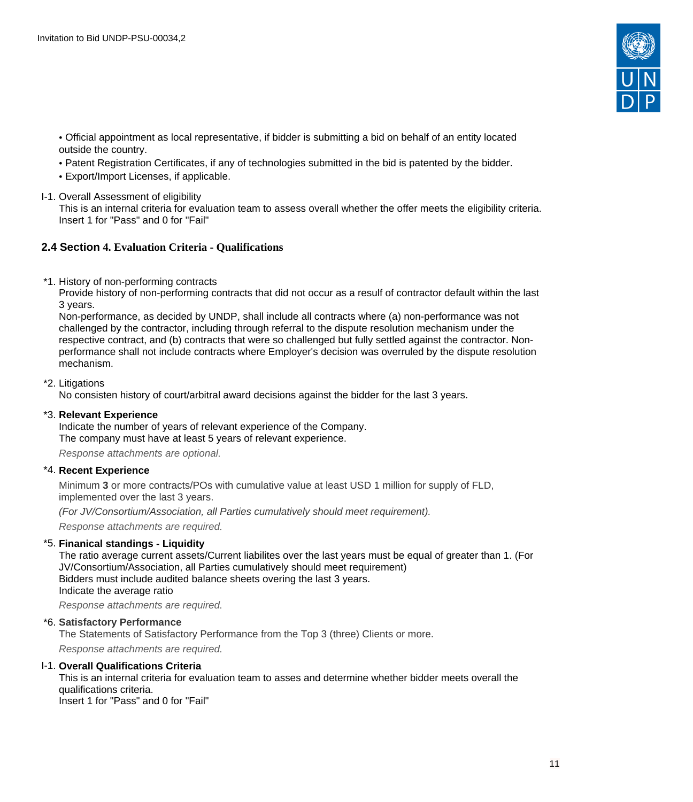

- Official appointment as local representative, if bidder is submitting a bid on behalf of an entity located outside the country.
- Patent Registration Certificates, if any of technologies submitted in the bid is patented by the bidder.
- Export/Import Licenses, if applicable.
- I-1. Overall Assessment of eligibility

This is an internal criteria for evaluation team to assess overall whether the offer meets the eligibility criteria. Insert 1 for "Pass" and 0 for "Fail"

# <span id="page-10-0"></span>**2.4 Section 4. Evaluation Criteria - Qualifications**

\*1. History of non-performing contracts

Provide history of non-performing contracts that did not occur as a resulf of contractor default within the last 3 years.

Non-performance, as decided by UNDP, shall include all contracts where (a) non-performance was not challenged by the contractor, including through referral to the dispute resolution mechanism under the respective contract, and (b) contracts that were so challenged but fully settled against the contractor. Nonperformance shall not include contracts where Employer's decision was overruled by the dispute resolution mechanism.

### \*2. Litigations

No consisten history of court/arbitral award decisions against the bidder for the last 3 years.

#### \*3. **Relevant Experience**

Indicate the number of years of relevant experience of the Company. The company must have at least 5 years of relevant experience.

Response attachments are optional*.*

# \*4. **Recent Experience**

Minimum **3** or more contracts/POs with cumulative value at least USD 1 million for supply of FLD, implemented over the last 3 years.

(For JV/Consortium/Association, all Parties cumulatively should meet requirement).

Response attachments are required*.*

# \*5. **Finanical standings - Liquidity**

The ratio average current assets/Current liabilites over the last years must be equal of greater than 1. (For JV/Consortium/Association, all Parties cumulatively should meet requirement) Bidders must include audited balance sheets overing the last 3 years. Indicate the average ratio

Response attachments are required*.*

# \*6. **Satisfactory Performance**

The Statements of Satisfactory Performance from the Top 3 (three) Clients or more.

Response attachments are required*.*

#### I-1. **Overall Qualifications Criteria**

This is an internal criteria for evaluation team to asses and determine whether bidder meets overall the qualifications criteria. Insert 1 for "Pass" and 0 for "Fail"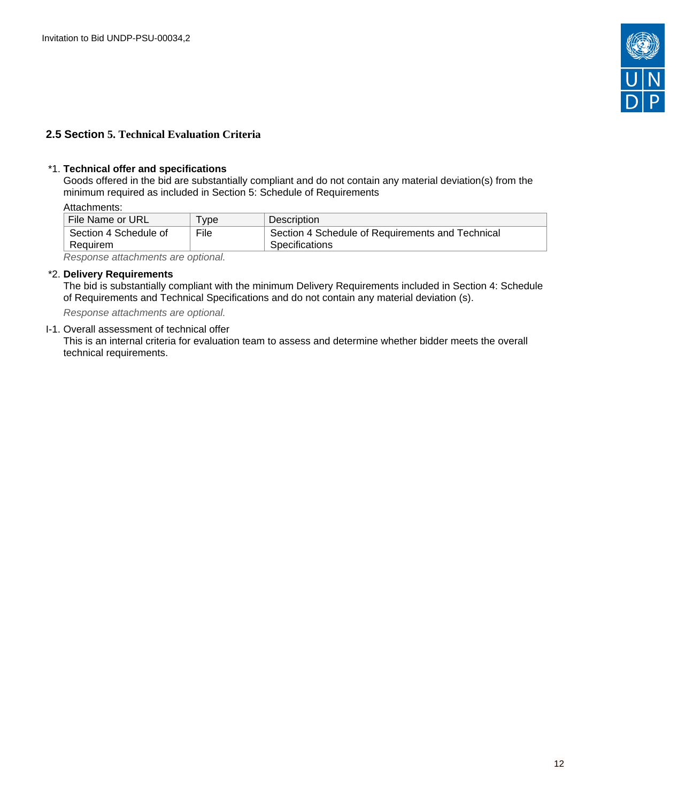

# <span id="page-11-0"></span>**2.5 Section 5. Technical Evaluation Criteria**

### \*1. **Technical offer and specifications**

Goods offered in the bid are substantially compliant and do not contain any material deviation(s) from the minimum required as included in Section 5: Schedule of Requirements

Attachments:

| File Name or URL      | $TV$ pe | Description                                      |
|-----------------------|---------|--------------------------------------------------|
| Section 4 Schedule of | File    | Section 4 Schedule of Requirements and Technical |
| Requirem              |         | <b>Specifications</b>                            |

Response attachments are optional*.*

# \*2. **Delivery Requirements**

The bid is substantially compliant with the minimum Delivery Requirements included in Section 4: Schedule of Requirements and Technical Specifications and do not contain any material deviation (s).

Response attachments are optional*.*

### I-1. Overall assessment of technical offer

This is an internal criteria for evaluation team to assess and determine whether bidder meets the overall technical requirements.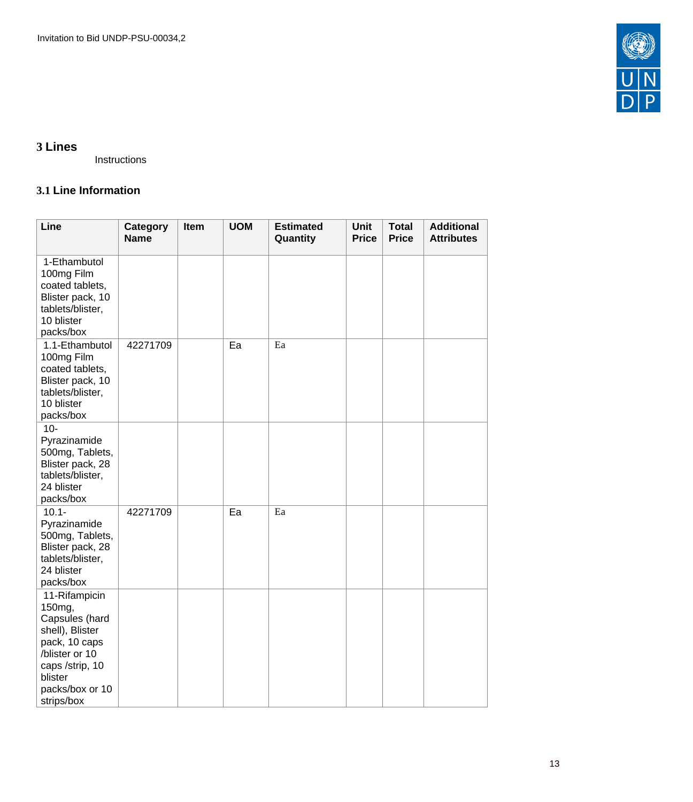

# <span id="page-12-0"></span>**3 Lines**

Instructions

# <span id="page-12-1"></span>**3.1 Line Information**

| Line                                                                                                                                                           | Category<br><b>Name</b> | Item | <b>UOM</b> | <b>Estimated</b><br>Quantity | <b>Unit</b><br><b>Price</b> | <b>Total</b><br><b>Price</b> | <b>Additional</b><br><b>Attributes</b> |
|----------------------------------------------------------------------------------------------------------------------------------------------------------------|-------------------------|------|------------|------------------------------|-----------------------------|------------------------------|----------------------------------------|
| 1-Ethambutol<br>100mg Film<br>coated tablets,<br>Blister pack, 10<br>tablets/blister,<br>10 blister<br>packs/box                                               |                         |      |            |                              |                             |                              |                                        |
| 1.1-Ethambutol<br>100mg Film<br>coated tablets,<br>Blister pack, 10<br>tablets/blister,<br>10 blister<br>packs/box                                             | 42271709                |      | Ea         | Ea                           |                             |                              |                                        |
| $10-$<br>Pyrazinamide<br>500mg, Tablets,<br>Blister pack, 28<br>tablets/blister,<br>24 blister<br>packs/box                                                    |                         |      |            |                              |                             |                              |                                        |
| $10.1 -$<br>Pyrazinamide<br>500mg, Tablets,<br>Blister pack, 28<br>tablets/blister,<br>24 blister<br>packs/box                                                 | 42271709                |      | Ea         | Ea                           |                             |                              |                                        |
| 11-Rifampicin<br>150mg,<br>Capsules (hard<br>shell), Blister<br>pack, 10 caps<br>/blister or 10<br>caps /strip, 10<br>blister<br>packs/box or 10<br>strips/box |                         |      |            |                              |                             |                              |                                        |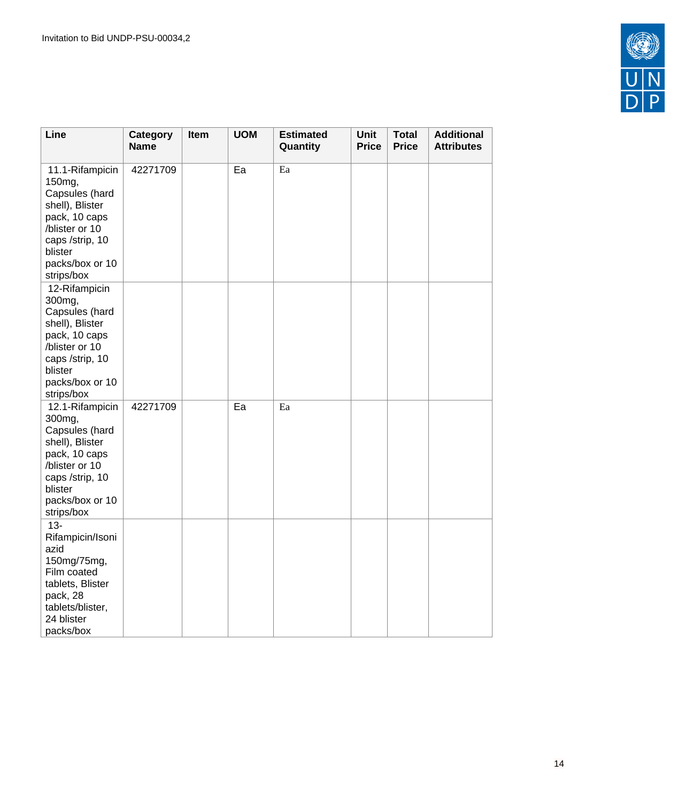

| Line                                                                                                                                                             | Category<br><b>Name</b> | Item | <b>UOM</b> | <b>Estimated</b><br>Quantity | <b>Unit</b><br><b>Price</b> | <b>Total</b><br><b>Price</b> | <b>Additional</b><br><b>Attributes</b> |
|------------------------------------------------------------------------------------------------------------------------------------------------------------------|-------------------------|------|------------|------------------------------|-----------------------------|------------------------------|----------------------------------------|
| 11.1-Rifampicin<br>150mg,<br>Capsules (hard<br>shell), Blister<br>pack, 10 caps<br>/blister or 10<br>caps /strip, 10<br>blister<br>packs/box or 10<br>strips/box | 42271709                |      | Ea         | Ea                           |                             |                              |                                        |
| 12-Rifampicin<br>300mg,<br>Capsules (hard<br>shell), Blister<br>pack, 10 caps<br>/blister or 10<br>caps /strip, 10<br>blister<br>packs/box or 10<br>strips/box   |                         |      |            |                              |                             |                              |                                        |
| 12.1-Rifampicin<br>300mg,<br>Capsules (hard<br>shell), Blister<br>pack, 10 caps<br>/blister or 10<br>caps /strip, 10<br>blister<br>packs/box or 10<br>strips/box | 42271709                |      | Ea         | Ea                           |                             |                              |                                        |
| $13 -$<br>Rifampicin/Isoni<br>azid<br>150mg/75mg,<br>Film coated<br>tablets, Blister<br>pack, 28<br>tablets/blister,<br>24 blister<br>packs/box                  |                         |      |            |                              |                             |                              |                                        |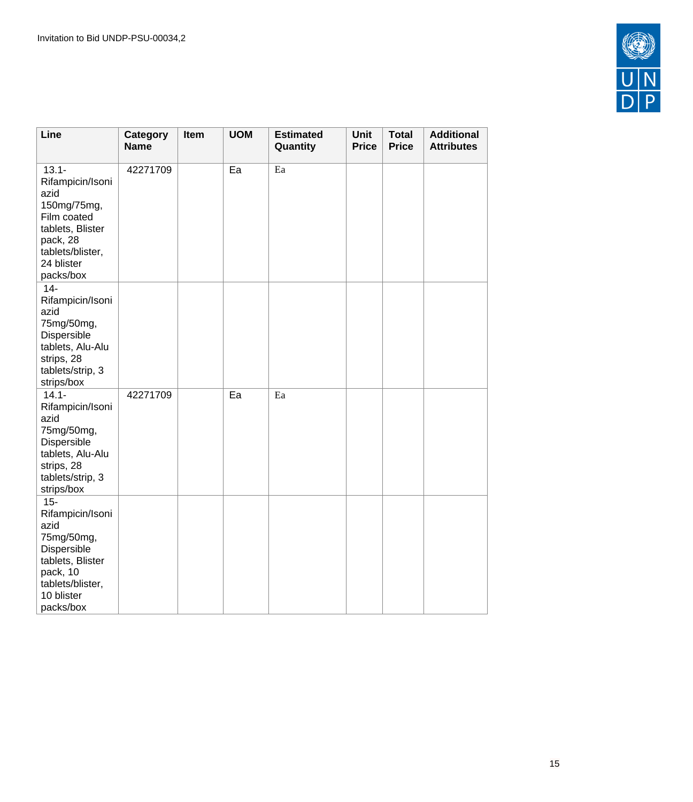

| Line                                                                                                                                              | <b>Category</b><br><b>Name</b> | Item | <b>UOM</b> | <b>Estimated</b><br>Quantity | Unit<br><b>Price</b> | <b>Total</b><br><b>Price</b> | <b>Additional</b><br><b>Attributes</b> |
|---------------------------------------------------------------------------------------------------------------------------------------------------|--------------------------------|------|------------|------------------------------|----------------------|------------------------------|----------------------------------------|
| $13.1 -$<br>Rifampicin/Isoni<br>azid<br>150mg/75mg,<br>Film coated<br>tablets, Blister<br>pack, 28<br>tablets/blister,<br>24 blister<br>packs/box | 42271709                       |      | Ea         | Ea                           |                      |                              |                                        |
| $14-$<br>Rifampicin/Isoni<br>azid<br>75mg/50mg,<br>Dispersible<br>tablets, Alu-Alu<br>strips, 28<br>tablets/strip, 3<br>strips/box                |                                |      |            |                              |                      |                              |                                        |
| $14.1 -$<br>Rifampicin/Isoni<br>azid<br>75mg/50mg,<br>Dispersible<br>tablets, Alu-Alu<br>strips, 28<br>tablets/strip, 3<br>strips/box             | 42271709                       |      | Ea         | Ea                           |                      |                              |                                        |
| $15 -$<br>Rifampicin/Isoni<br>azid<br>75mg/50mg,<br>Dispersible<br>tablets, Blister<br>pack, 10<br>tablets/blister,<br>10 blister<br>packs/box    |                                |      |            |                              |                      |                              |                                        |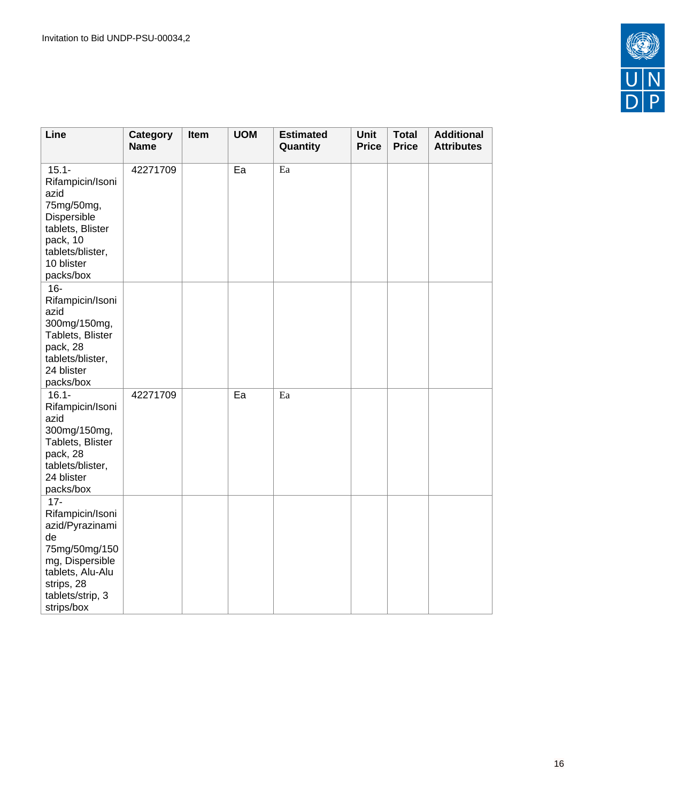

| Line                                                                                                                                                        | Category<br><b>Name</b> | Item | <b>UOM</b> | <b>Estimated</b><br>Quantity | <b>Unit</b><br><b>Price</b> | <b>Total</b><br><b>Price</b> | <b>Additional</b><br><b>Attributes</b> |
|-------------------------------------------------------------------------------------------------------------------------------------------------------------|-------------------------|------|------------|------------------------------|-----------------------------|------------------------------|----------------------------------------|
| $15.1 -$<br>Rifampicin/Isoni<br>azid<br>75mg/50mg,<br>Dispersible<br>tablets, Blister<br>pack, 10<br>tablets/blister,<br>10 blister<br>packs/box            | 42271709                |      | Ea         | Ea                           |                             |                              |                                        |
| $16-$<br>Rifampicin/Isoni<br>azid<br>300mg/150mg,<br>Tablets, Blister<br>pack, 28<br>tablets/blister,<br>24 blister<br>packs/box                            |                         |      |            |                              |                             |                              |                                        |
| $16.1 -$<br>Rifampicin/Isoni<br>azid<br>300mg/150mg,<br>Tablets, Blister<br>pack, 28<br>tablets/blister,<br>24 blister<br>packs/box                         | 42271709                |      | Ea         | Ea                           |                             |                              |                                        |
| $17 -$<br>Rifampicin/Isoni<br>azid/Pyrazinami<br>de<br>75mg/50mg/150<br>mg, Dispersible<br>tablets, Alu-Alu<br>strips, 28<br>tablets/strip, 3<br>strips/box |                         |      |            |                              |                             |                              |                                        |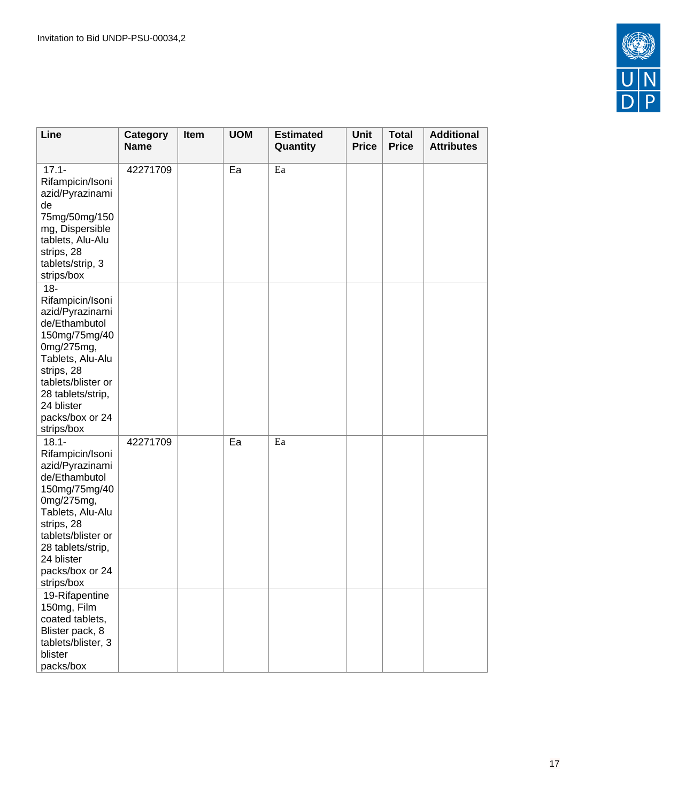

| Line                                                                                                                                                                                                                        | Category<br><b>Name</b> | Item | <b>UOM</b> | <b>Estimated</b><br>Quantity | Unit<br><b>Price</b> | <b>Total</b><br><b>Price</b> | <b>Additional</b><br><b>Attributes</b> |
|-----------------------------------------------------------------------------------------------------------------------------------------------------------------------------------------------------------------------------|-------------------------|------|------------|------------------------------|----------------------|------------------------------|----------------------------------------|
| $17.1 -$<br>Rifampicin/Isoni<br>azid/Pyrazinami<br>de<br>75mg/50mg/150<br>mg, Dispersible<br>tablets, Alu-Alu<br>strips, 28<br>tablets/strip, 3<br>strips/box                                                               | 42271709                |      | Ea         | Ea                           |                      |                              |                                        |
| $18 -$<br>Rifampicin/Isoni<br>azid/Pyrazinami<br>de/Ethambutol<br>150mg/75mg/40<br>0mg/275mg,<br>Tablets, Alu-Alu<br>strips, 28<br>tablets/blister or<br>28 tablets/strip,<br>24 blister<br>packs/box or 24<br>strips/box   |                         |      |            |                              |                      |                              |                                        |
| $18.1 -$<br>Rifampicin/Isoni<br>azid/Pyrazinami<br>de/Ethambutol<br>150mg/75mg/40<br>0mg/275mg,<br>Tablets, Alu-Alu<br>strips, 28<br>tablets/blister or<br>28 tablets/strip,<br>24 blister<br>packs/box or 24<br>strips/box | 42271709                |      | Ea         | Ea                           |                      |                              |                                        |
| 19-Rifapentine<br>150mg, Film<br>coated tablets,<br>Blister pack, 8<br>tablets/blister, 3<br>blister<br>packs/box                                                                                                           |                         |      |            |                              |                      |                              |                                        |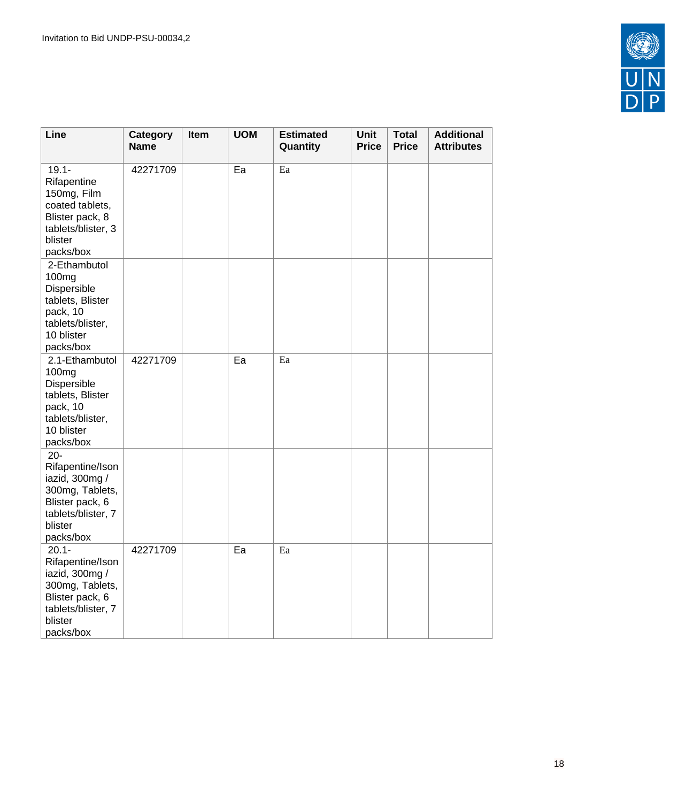

| Line                                                                                                                               | Category<br><b>Name</b> | Item | <b>UOM</b> | <b>Estimated</b><br>Quantity | Unit<br><b>Price</b> | <b>Total</b><br><b>Price</b> | <b>Additional</b><br><b>Attributes</b> |
|------------------------------------------------------------------------------------------------------------------------------------|-------------------------|------|------------|------------------------------|----------------------|------------------------------|----------------------------------------|
| $19.1 -$<br>Rifapentine<br>150mg, Film<br>coated tablets,<br>Blister pack, 8<br>tablets/blister, 3<br>blister<br>packs/box         | 42271709                |      | Ea         | Ea                           |                      |                              |                                        |
| 2-Ethambutol<br>100mg<br>Dispersible<br>tablets, Blister<br>pack, 10<br>tablets/blister,<br>10 blister<br>packs/box                |                         |      |            |                              |                      |                              |                                        |
| 2.1-Ethambutol<br>100 <sub>mg</sub><br>Dispersible<br>tablets, Blister<br>pack, 10<br>tablets/blister,<br>10 blister<br>packs/box  | 42271709                |      | Ea         | Ea                           |                      |                              |                                        |
| $20 -$<br>Rifapentine/Ison<br>iazid, 300mg /<br>300mg, Tablets,<br>Blister pack, 6<br>tablets/blister, 7<br>blister<br>packs/box   |                         |      |            |                              |                      |                              |                                        |
| $20.1 -$<br>Rifapentine/Ison<br>iazid, 300mg /<br>300mg, Tablets,<br>Blister pack, 6<br>tablets/blister, 7<br>blister<br>packs/box | 42271709                |      | Ea         | Ea                           |                      |                              |                                        |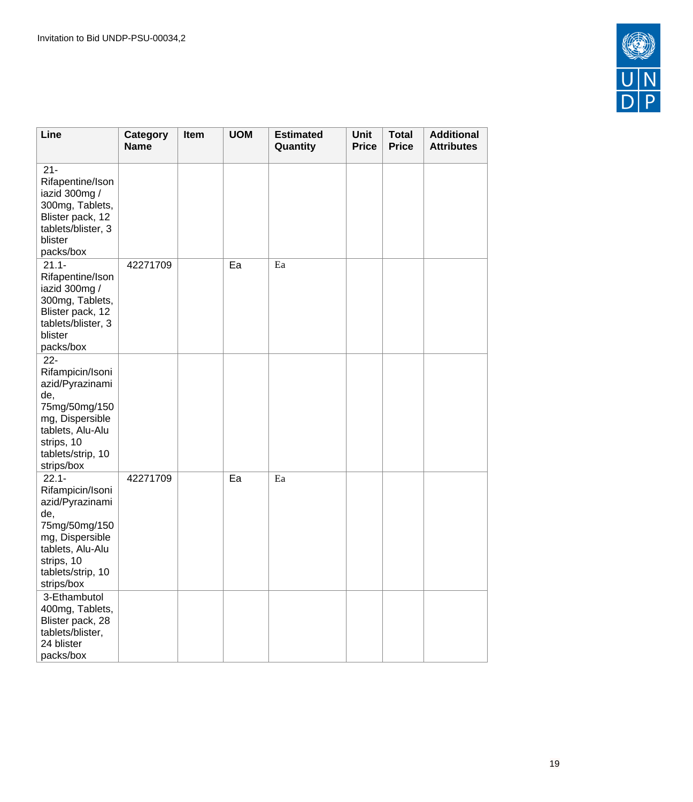

| Line                                                                                                                                                            | Category<br><b>Name</b> | Item | <b>UOM</b> | <b>Estimated</b><br>Quantity | Unit<br><b>Price</b> | <b>Total</b><br><b>Price</b> | <b>Additional</b><br><b>Attributes</b> |
|-----------------------------------------------------------------------------------------------------------------------------------------------------------------|-------------------------|------|------------|------------------------------|----------------------|------------------------------|----------------------------------------|
| $21 -$<br>Rifapentine/Ison<br>iazid 300mg /<br>300mg, Tablets,<br>Blister pack, 12<br>tablets/blister, 3<br>blister<br>packs/box                                |                         |      |            |                              |                      |                              |                                        |
| $21.1 -$<br>Rifapentine/Ison<br>iazid 300mg /<br>300mg, Tablets,<br>Blister pack, 12<br>tablets/blister, 3<br>blister<br>packs/box                              | 42271709                |      | Ea         | $\rm{E}a$                    |                      |                              |                                        |
| $22 -$<br>Rifampicin/Isoni<br>azid/Pyrazinami<br>de,<br>75mg/50mg/150<br>mg, Dispersible<br>tablets, Alu-Alu<br>strips, 10<br>tablets/strip, 10<br>strips/box   |                         |      |            |                              |                      |                              |                                        |
| $22.1 -$<br>Rifampicin/Isoni<br>azid/Pyrazinami<br>de,<br>75mg/50mg/150<br>mg, Dispersible<br>tablets, Alu-Alu<br>strips, 10<br>tablets/strip, 10<br>strips/box | 42271709                |      | Ea         | Ea                           |                      |                              |                                        |
| 3-Ethambutol<br>400mg, Tablets,<br>Blister pack, 28<br>tablets/blister,<br>24 blister<br>packs/box                                                              |                         |      |            |                              |                      |                              |                                        |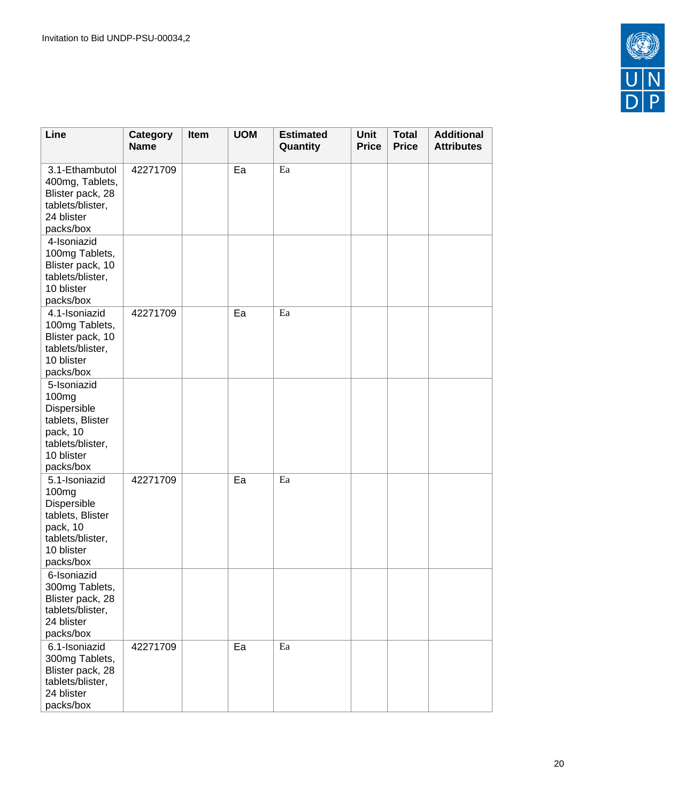

| Line                                                                                                                             | Category<br><b>Name</b> | Item | <b>UOM</b> | <b>Estimated</b><br>Quantity | <b>Unit</b><br><b>Price</b> | <b>Total</b><br><b>Price</b> | <b>Additional</b><br><b>Attributes</b> |
|----------------------------------------------------------------------------------------------------------------------------------|-------------------------|------|------------|------------------------------|-----------------------------|------------------------------|----------------------------------------|
| 3.1-Ethambutol<br>400mg, Tablets,<br>Blister pack, 28<br>tablets/blister,<br>24 blister<br>packs/box                             | 42271709                |      | Ea         | Ea                           |                             |                              |                                        |
| 4-Isoniazid<br>100mg Tablets,<br>Blister pack, 10<br>tablets/blister,<br>10 blister<br>packs/box                                 |                         |      |            |                              |                             |                              |                                        |
| 4.1-Isoniazid<br>100mg Tablets,<br>Blister pack, 10<br>tablets/blister,<br>10 blister<br>packs/box                               | 42271709                |      | Ea         | Ea                           |                             |                              |                                        |
| 5-Isoniazid<br>100 <sub>mg</sub><br>Dispersible<br>tablets, Blister<br>pack, 10<br>tablets/blister,<br>10 blister<br>packs/box   |                         |      |            |                              |                             |                              |                                        |
| 5.1-Isoniazid<br>100 <sub>mg</sub><br>Dispersible<br>tablets, Blister<br>pack, 10<br>tablets/blister,<br>10 blister<br>packs/box | 42271709                |      | Ea         | Ea                           |                             |                              |                                        |
| 6-Isoniazid<br>300mg Tablets,<br>Blister pack, 28<br>tablets/blister,<br>24 blister<br>packs/box                                 |                         |      |            |                              |                             |                              |                                        |
| 6.1-Isoniazid<br>300mg Tablets,<br>Blister pack, 28<br>tablets/blister,<br>24 blister<br>packs/box                               | 42271709                |      | Ea         | Ea                           |                             |                              |                                        |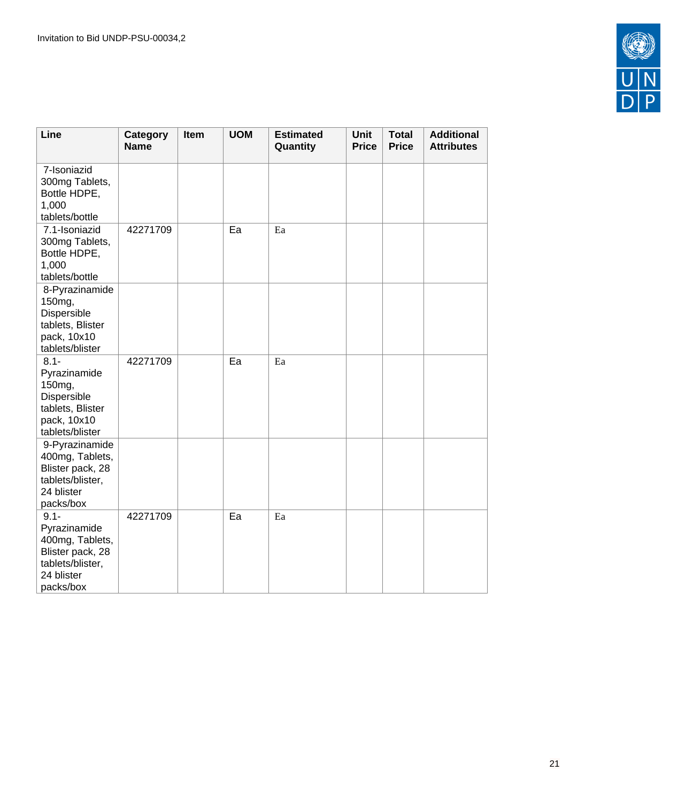

| Line                                                                                                          | Category<br><b>Name</b> | Item | <b>UOM</b> | <b>Estimated</b><br>Quantity | <b>Unit</b><br><b>Price</b> | <b>Total</b><br><b>Price</b> | <b>Additional</b><br><b>Attributes</b> |
|---------------------------------------------------------------------------------------------------------------|-------------------------|------|------------|------------------------------|-----------------------------|------------------------------|----------------------------------------|
| 7-Isoniazid<br>300mg Tablets,<br>Bottle HDPE,<br>1,000<br>tablets/bottle                                      |                         |      |            |                              |                             |                              |                                        |
| 7.1-Isoniazid<br>300mg Tablets,<br>Bottle HDPE,<br>1,000<br>tablets/bottle                                    | 42271709                |      | Ea         | Ea                           |                             |                              |                                        |
| 8-Pyrazinamide<br>150mg,<br>Dispersible<br>tablets, Blister<br>pack, 10x10<br>tablets/blister                 |                         |      |            |                              |                             |                              |                                        |
| $8.1 -$<br>Pyrazinamide<br>150mg,<br>Dispersible<br>tablets, Blister<br>pack, 10x10<br>tablets/blister        | 42271709                |      | Ea         | Ea                           |                             |                              |                                        |
| 9-Pyrazinamide<br>400mg, Tablets,<br>Blister pack, 28<br>tablets/blister,<br>24 blister<br>packs/box          |                         |      |            |                              |                             |                              |                                        |
| $9.1 -$<br>Pyrazinamide<br>400mg, Tablets,<br>Blister pack, 28<br>tablets/blister,<br>24 blister<br>packs/box | 42271709                |      | Ea         | Ea                           |                             |                              |                                        |